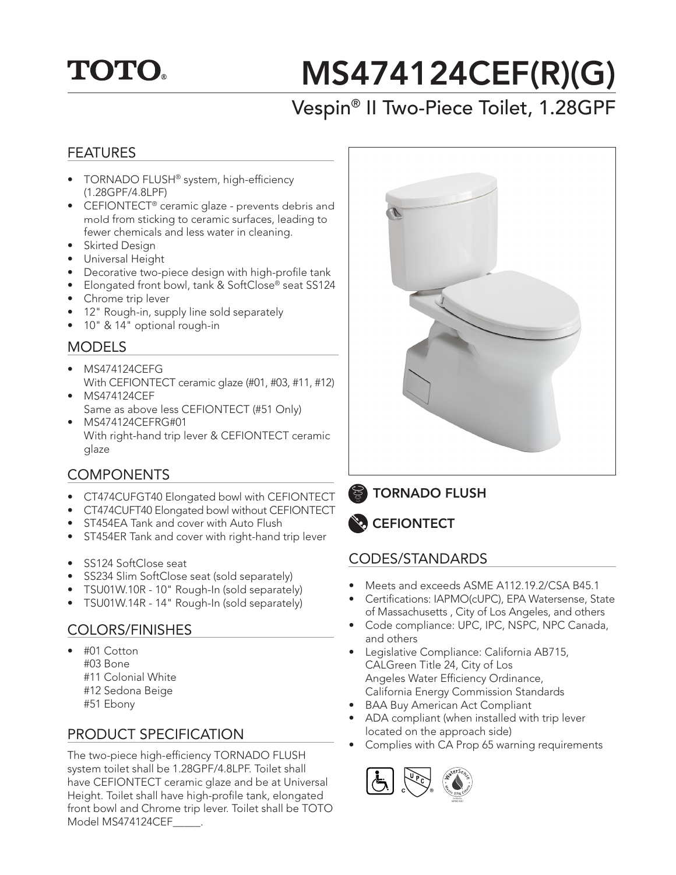## **TOTO.**

# MS474124CEF(R)(G)

### Vespin® II Two-Piece Toilet, 1.28GPF

#### FEATURES

- TORNADO FLUSH® system, high-efficiency (1.28GPF/4.8LPF)
- CEFIONTECT<sup>®</sup> ceramic glaze prevents debris and mold from sticking to ceramic surfaces, leading to fewer chemicals and less water in cleaning.
- Skirted Design
- Universal Height
- Decorative two-piece design with high-profile tank
- Elongated front bowl, tank & SoftClose® seat SS124
- Chrome trip lever
- 12" Rough-in, supply line sold separately
- 10" & 14" optional rough-in

#### **MODELS**

- MS474124CEFG With CEFIONTECT ceramic glaze (#01, #03, #11, #12)
- MS474124CEF Same as above less CEFIONTECT (#51 Only)
- MS474124CEFRG#01 With right-hand trip lever & CEFIONTECT ceramic glaze

#### **COMPONENTS**

- CT474CUFGT40 Elongated bowl with CEFIONTECT
- CT474CUFT40 Elongated bowl without CEFIONTECT
- ST454EA Tank and cover with Auto Flush
- ST454ER Tank and cover with right-hand trip lever
- SS124 SoftClose seat
- SS234 Slim SoftClose seat (sold separately)
- TSU01W.10R 10" Rough-In (sold separately)
- TSU01W.14R 14" Rough-In (sold separately)

#### COLORS/FINISHES

- #01 Cotton #03 Bone #11 Colonial White #12 Sedona Beige
	- #51 Ebony

#### PRODUCT SPECIFICATION

The two-piece high-efficiency TORNADO FLUSH system toilet shall be 1.28GPF/4.8LPF. Toilet shall have CEFIONTECT ceramic glaze and be at Universal Height. Toilet shall have high-profile tank, elongated front bowl and Chrome trip lever. Toilet shall be TOTO Model MS474124CEF\_\_\_\_\_.



TORNADO FLUSH



#### CODES/STANDARDS

- Meets and exceeds ASME A112.19.2/CSA B45.1
- Certifications: IAPMO(cUPC), EPA Watersense, State of Massachusetts , City of Los Angeles, and others
- Code compliance: UPC, IPC, NSPC, NPC Canada, and others
- Legislative Compliance: California AB715, CALGreen Title 24, City of Los Angeles Water Efficiency Ordinance, California Energy Commission Standards
- **BAA Buy American Act Compliant**
- ADA compliant (when installed with trip lever located on the approach side)
- Complies with CA Prop 65 warning requirements